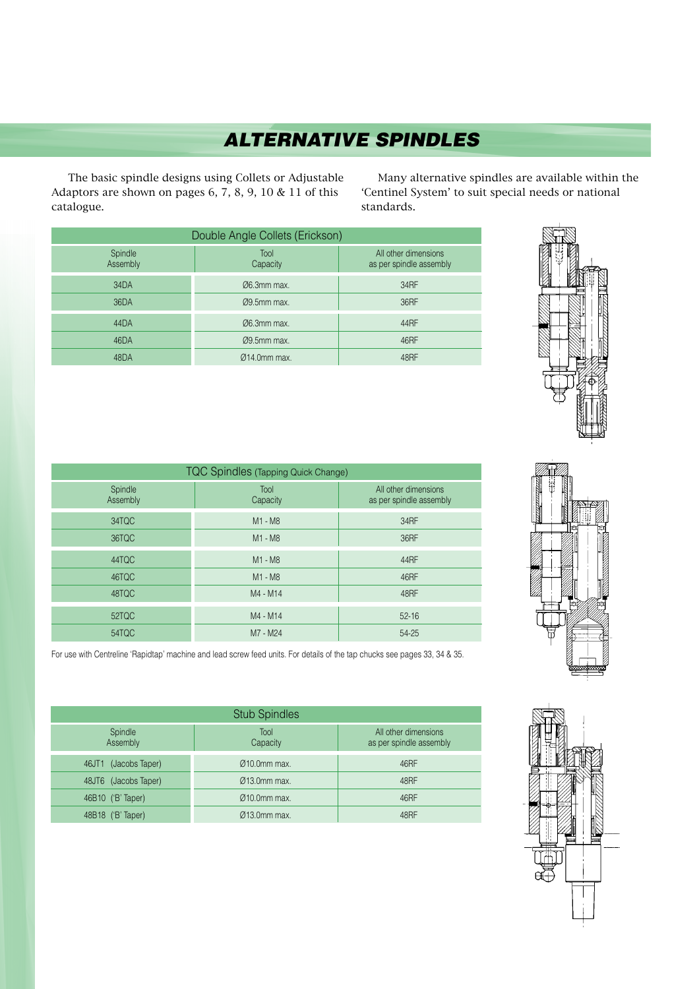## **ALTERNATIVE SPINDLES**

The basic spindle designs using Collets or Adjustable Adaptors are shown on pages 6, 7, 8, 9, 10 & 11 of this catalogue.

Many alternative spindles are available within the 'Centinel System' to suit special needs or national standards.

| Double Angle Collets (Erickson) |                          |                                                 |  |
|---------------------------------|--------------------------|-------------------------------------------------|--|
| Spindle<br>Assembly             | Tool<br>Capacity         | All other dimensions<br>as per spindle assembly |  |
| 34DA                            | $Ø6.3mm$ max.            | 34RF                                            |  |
| 36DA                            | $09.5$ mm max.           | 36RF                                            |  |
| 44DA                            | $\varnothing$ 6.3mm max. | 44RF                                            |  |
| 46DA                            | $09.5$ mm max.           | 46RF                                            |  |
| 48DA                            | $Ø14.0mm$ max.           | 48RF                                            |  |

| TQC Spindles (Tapping Quick Change) |                  |                                                 |
|-------------------------------------|------------------|-------------------------------------------------|
| Spindle<br>Assembly                 | Tool<br>Capacity | All other dimensions<br>as per spindle assembly |
| 34TQC                               | M1 - M8          | 34RF                                            |
| 36TQC                               | M1 - M8          | 36RF                                            |
| 44TQC                               | M1 - M8          | 44RF                                            |
| 46TQC                               | M1 - M8          | 46RF                                            |
| 48TQC                               | M4 - M14         | 48RF                                            |
| 52TQC                               | M4 - M14         | $52 - 16$                                       |
| 54TQC                               | M7 - M24         | 54-25                                           |



For use with Centreline 'Rapidtap' machine and lead screw feed units. For details of the tap chucks see pages 33, 34 & 35.

| <b>Stub Spindles</b>    |                           |                                                 |  |
|-------------------------|---------------------------|-------------------------------------------------|--|
| Spindle<br>Assembly     | Tool<br>Capacity          | All other dimensions<br>as per spindle assembly |  |
| (Jacobs Taper)<br>46JT1 | $Q10.0$ mm max.           | 46RF                                            |  |
| 48JT6 (Jacobs Taper)    | $Q13.0$ mm max.           | 48RF                                            |  |
| 46B10 ('B' Taper)       | $\varnothing$ 10.0mm max. | 46RF                                            |  |
| ('B' Taper)<br>48B18    | $\varnothing$ 13.0mm max. | 48RF                                            |  |